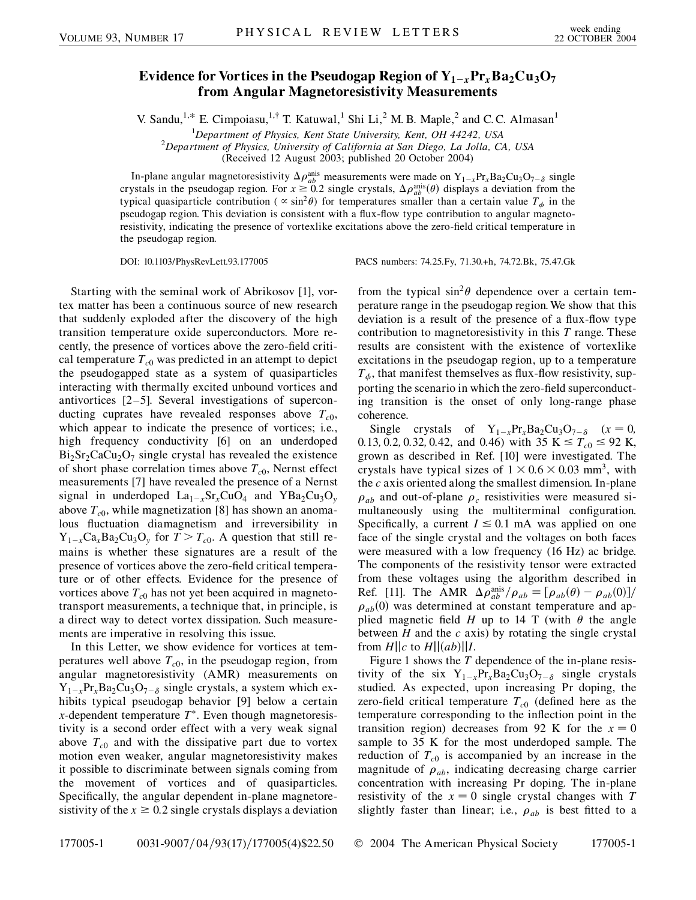## **Evidence for Vortices in the Pseudogap Region of**  $Y_{1-x}P_{x}Ba_{2}Cu_{3}O_{7}$ **from Angular Magnetoresistivity Measurements**

V. Sandu,<sup>1,\*</sup> E. Cimpoiasu,<sup>1,†</sup> T. Katuwal,<sup>1</sup> Shi Li,<sup>2</sup> M. B. Maple,<sup>2</sup> and C. C. Almasan<sup>1</sup>

<sup>1</sup> Department of Physics, Kent State University, Kent, OH 44242, USA<sup>2</sup> Department of Physics, University of California at San Diago, La Jolla, C.

*Department of Physics, University of California at San Diego, La Jolla, CA, USA*

(Received 12 August 2003; published 20 October 2004)

In-plane angular magnetoresistivity  $\Delta \rho_{ab}^{anis}$  measurements were made on  $Y_{1-x}Pr_xBa_2Cu_3O_{7-\delta}$  single crystals in the pseudogap region. For  $x \ge 0.2$  single crystals,  $\Delta \rho_{ab}^{\text{anis}}(\theta)$  displays a deviation from the typical quasiparticle contribution ( $\propto \sin^2 \theta$ ) for temperatures smaller than a certain value  $T_{\phi}$  in the pseudogap region. This deviation is consistent with a flux-flow type contribution to angular magnetoresistivity, indicating the presence of vortexlike excitations above the zero-field critical temperature in the pseudogap region.

DOI: 10.1103/PhysRevLett.93.177005 PACS numbers: 74.25.Fy, 71.30.+h, 74.72.Bk, 75.47.Gk

Starting with the seminal work of Abrikosov [1], vortex matter has been a continuous source of new research that suddenly exploded after the discovery of the high transition temperature oxide superconductors. More recently, the presence of vortices above the zero-field critical temperature  $T_{c0}$  was predicted in an attempt to depict the pseudogapped state as a system of quasiparticles interacting with thermally excited unbound vortices and antivortices [2–5]. Several investigations of superconducting cuprates have revealed responses above  $T_{c0}$ , which appear to indicate the presence of vortices; i.e., high frequency conductivity [6] on an underdoped  $Bi<sub>2</sub>Sr<sub>2</sub>CaCu<sub>2</sub>O<sub>7</sub>$  single crystal has revealed the existence of short phase correlation times above  $T_{c0}$ , Nernst effect measurements [7] have revealed the presence of a Nernst signal in underdoped  $La_{1-x}Sr_xCuO_4$  and  $YBa_2Cu_3O_y$ above  $T_{c0}$ , while magnetization [8] has shown an anomalous fluctuation diamagnetism and irreversibility in  $Y_{1-x}Ca_xBa_2Cu_3O_y$  for  $T>T_{c0}$ . A question that still remains is whether these signatures are a result of the presence of vortices above the zero-field critical temperature or of other effects. Evidence for the presence of vortices above  $T_{c0}$  has not yet been acquired in magnetotransport measurements, a technique that, in principle, is a direct way to detect vortex dissipation. Such measurements are imperative in resolving this issue.

In this Letter, we show evidence for vortices at temperatures well above  $T_{c0}$ , in the pseudogap region, from angular magnetoresistivity (AMR) measurements on  $Y_{1-x}Pr_{x}Ba_{2}Cu_{3}O_{7-\delta}$  single crystals, a system which exhibits typical pseudogap behavior [9] below a certain *x*-dependent temperature  $T^*$ . Even though magnetoresistivity is a second order effect with a very weak signal above  $T_{c0}$  and with the dissipative part due to vortex motion even weaker, angular magnetoresistivity makes it possible to discriminate between signals coming from the movement of vortices and of quasiparticles. Specifically, the angular dependent in-plane magnetoresistivity of the  $x \ge 0.2$  single crystals displays a deviation from the typical  $\sin^2\theta$  dependence over a certain temperature range in the pseudogap region. We show that this deviation is a result of the presence of a flux-flow type contribution to magnetoresistivity in this *T* range. These results are consistent with the existence of vortexlike excitations in the pseudogap region, up to a temperature  $T_{\phi}$ , that manifest themselves as flux-flow resistivity, supporting the scenario in which the zero-field superconducting transition is the onset of only long-range phase coherence.

Single crystals of  $Y_{1-x}Pr_xBa_2Cu_3O_{7-\delta}$   $(x=0,$ 0.13, 0.2, 0.32, 0.42, and 0.46) with 35 K  $\leq T_{c0} \leq 92$  K, grown as described in Ref. [10] were investigated. The crystals have typical sizes of  $1 \times 0.6 \times 0.03$  mm<sup>3</sup>, with the *c* axis oriented along the smallest dimension. In-plane  $\rho_{ab}$  and out-of-plane  $\rho_c$  resistivities were measured simultaneously using the multiterminal configuration. Specifically, a current  $I \leq 0.1$  mA was applied on one face of the single crystal and the voltages on both faces were measured with a low frequency (16 Hz) ac bridge. The components of the resistivity tensor were extracted from these voltages using the algorithm described in Ref. [11]. The AMR  $\Delta \rho_{ab}^{\text{anis}} / \rho_{ab} \equiv [\rho_{ab}(\theta) - \rho_{ab}(0)]/$  $\rho_{ab}(0)$  was determined at constant temperature and applied magnetic field *H* up to 14 T (with  $\theta$  the angle between *H* and the *c* axis) by rotating the single crystal from  $H||c$  to  $H||(ab)||I$ .

Figure 1 shows the *T* dependence of the in-plane resistivity of the six  $Y_{1-x}Pr_xBa_2Cu_3O_{7-\delta}$  single crystals studied. As expected, upon increasing Pr doping, the zero-field critical temperature  $T_{c0}$  (defined here as the temperature corresponding to the inflection point in the transition region) decreases from 92 K for the  $x = 0$ sample to 35 K for the most underdoped sample. The reduction of  $T_{c0}$  is accompanied by an increase in the magnitude of  $\rho_{ab}$ , indicating decreasing charge carrier concentration with increasing Pr doping. The in-plane resistivity of the  $x = 0$  single crystal changes with  $T$ slightly faster than linear; i.e.,  $\rho_{ab}$  is best fitted to a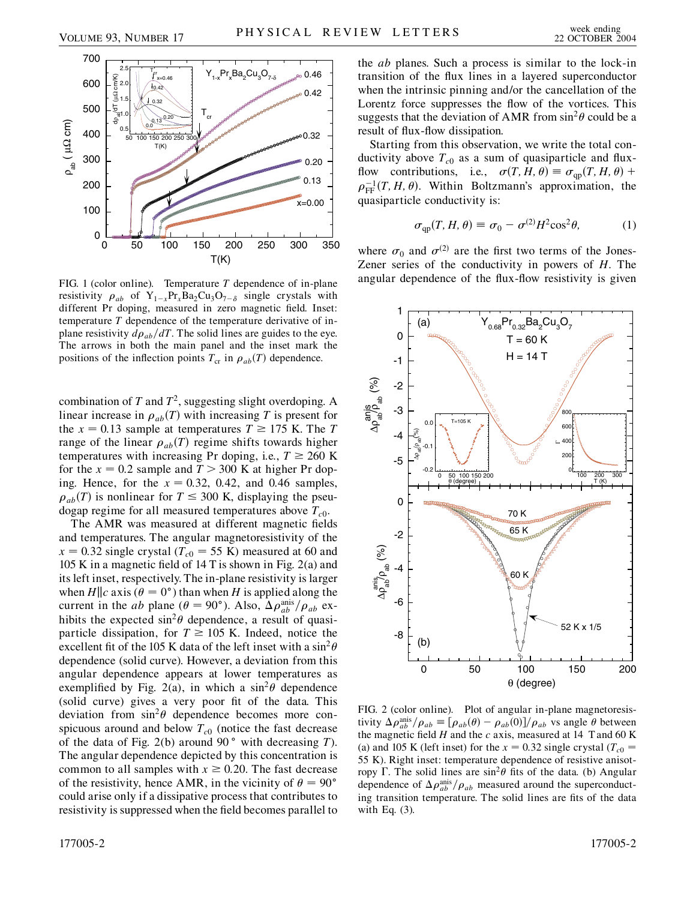

FIG. 1 (color online). Temperature *T* dependence of in-plane resistivity  $\rho_{ab}$  of  $Y_{1-x}Pr_xBa_2Cu_3O_{7-\delta}$  single crystals with different Pr doping, measured in zero magnetic field. Inset: temperature *T* dependence of the temperature derivative of inplane resistivity  $d\rho_{ab}/dT$ . The solid lines are guides to the eye. The arrows in both the main panel and the inset mark the positions of the inflection points  $T_{cr}$  in  $\rho_{ab}(T)$  dependence.

combination of *T* and *T*2, suggesting slight overdoping. A linear increase in  $\rho_{ab}(T)$  with increasing *T* is present for the  $x = 0.13$  sample at temperatures  $T \ge 175$  K. The *T* range of the linear  $\rho_{ab}(T)$  regime shifts towards higher temperatures with increasing Pr doping, i.e.,  $T \ge 260$  K for the  $x = 0.2$  sample and  $T > 300$  K at higher Pr doping. Hence, for the  $x = 0.32$ , 0.42, and 0.46 samples,  $\rho_{ab}(T)$  is nonlinear for  $T \leq 300$  K, displaying the pseudogap regime for all measured temperatures above  $T_{c0}$ .

The AMR was measured at different magnetic fields and temperatures. The angular magnetoresistivity of the  $x = 0.32$  single crystal ( $T_{c0} = 55$  K) measured at 60 and 105 K in a magnetic field of 14 T is shown in Fig. 2(a) and its left inset, respectively. The in-plane resistivity is larger when  $H||c$  axis ( $\theta = 0^{\circ}$ ) than when *H* is applied along the current in the *ab* plane ( $\theta = 90^{\circ}$ ). Also,  $\Delta \rho_{ab}^{\text{anis}} / \rho_{ab}$  exhibits the expected  $\sin^2\theta$  dependence, a result of quasiparticle dissipation, for  $T \ge 105$  K. Indeed, notice the excellent fit of the 105 K data of the left inset with a  $\sin^2\theta$ dependence (solid curve). However, a deviation from this angular dependence appears at lower temperatures as exemplified by Fig. 2(a), in which a  $\sin^2\theta$  dependence (solid curve) gives a very poor fit of the data. This deviation from  $\sin^2\theta$  dependence becomes more conspicuous around and below  $T_{c0}$  (notice the fast decrease of the data of Fig. 2(b) around 90 with decreasing *T*). The angular dependence depicted by this concentration is common to all samples with  $x \ge 0.20$ . The fast decrease of the resistivity, hence AMR, in the vicinity of  $\theta = 90^{\circ}$ could arise only if a dissipative process that contributes to resistivity is suppressed when the field becomes parallel to the *ab* planes. Such a process is similar to the lock-in transition of the flux lines in a layered superconductor when the intrinsic pinning and/or the cancellation of the Lorentz force suppresses the flow of the vortices. This suggests that the deviation of AMR from  $\sin^2\theta$  could be a result of flux-flow dissipation.

Starting from this observation, we write the total conductivity above  $T_{c0}$  as a sum of quasiparticle and fluxflow contributions, i.e.,  $\sigma(T, H, \theta) \equiv \sigma_{\text{qp}}(T, H, \theta) +$  $\rho_{\text{FF}}^{-1}(T, H, \theta)$ . Within Boltzmann's approximation, the quasiparticle conductivity is:

$$
\sigma_{\rm qp}(T, H, \theta) \equiv \sigma_0 - \sigma^{(2)} H^2 \cos^2 \theta,\tag{1}
$$

where  $\sigma_0$  and  $\sigma^{(2)}$  are the first two terms of the Jones-Zener series of the conductivity in powers of *H*. The angular dependence of the flux-flow resistivity is given



FIG. 2 (color online). Plot of angular in-plane magnetoresistivity  $\Delta \rho_{ab}^{\text{anis}} / \rho_{ab} \equiv [\rho_{ab}(\theta) - \rho_{ab}(0)] / \rho_{ab}$  vs angle  $\theta$  between the magnetic field  $H$  and the  $c$  axis, measured at 14 T and 60 K (a) and 105 K (left inset) for the  $x = 0.32$  single crystal ( $T_{c0}$ ) 55 K). Right inset: temperature dependence of resistive anisotropy  $\Gamma$ . The solid lines are  $\sin^2\theta$  fits of the data. (b) Angular dependence of  $\Delta \rho_{ab}^{\text{anis}}/\rho_{ab}$  measured around the superconducting transition temperature. The solid lines are fits of the data with Eq. (3).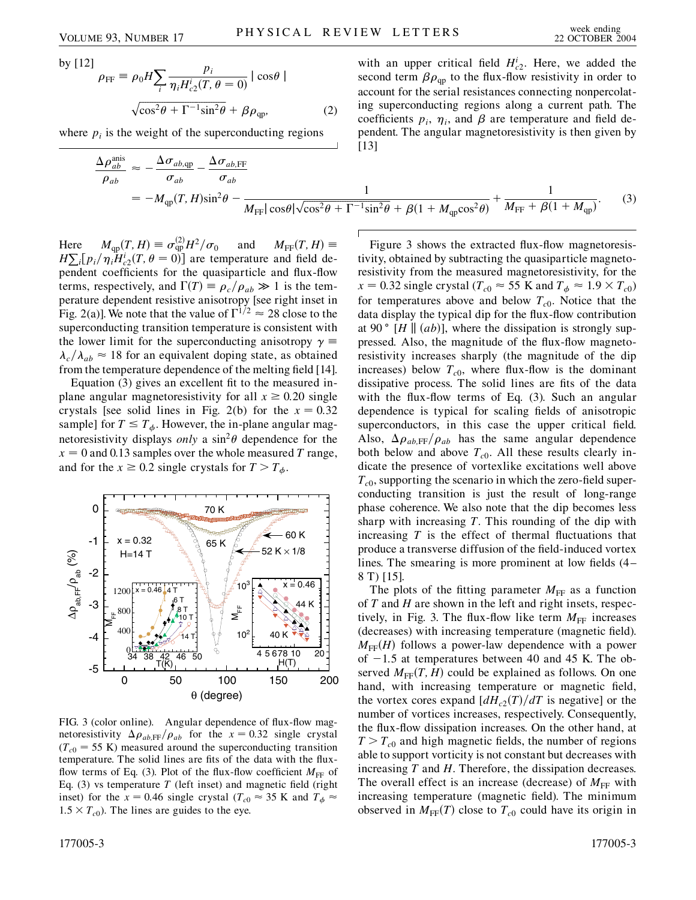by [12]

$$
\rho_{\text{FF}} \equiv \rho_0 H \sum_i \frac{p_i}{\eta_i H_{c2}^i(T, \theta = 0)} |\cos \theta|
$$
  

$$
\sqrt{\cos^2 \theta + \Gamma^{-1} \sin^2 \theta} + \beta \rho_{\text{qp}},
$$
 (2)

*pi*

where  $p_i$  is the weight of the superconducting regions

$$
\frac{\Delta \rho_{ab}^{\text{anis}}}{\rho_{ab}} \approx -\frac{\Delta \sigma_{ab,qp}}{\sigma_{ab}} - \frac{\Delta \sigma_{ab,FF}}{\sigma_{ab}}
$$
\n
$$
= -M_{qp}(T,H)\sin^2\theta - \frac{1}{M_{FF}|\cos\theta|\sqrt{\cos^2\theta + \Gamma^{-1}\sin^2\theta} + \beta(1 + M_{qp}\cos^2\theta)} + \frac{1}{M_{FF} + \beta(1 + M_{qp})}.
$$
\n(3)

Here  $M_{\text{qp}}(T, H) \equiv \sigma_{\text{qp}}^{(2)}$  $\frac{d^{(2)}}{dp} H^2/\sigma_0$  and  $M_{\text{FF}}(T,H) \equiv$  $H\sum_i[p_i/\eta_iH_{c2}^i(T,\theta=0)]$  are temperature and field dependent coefficients for the quasiparticle and flux-flow terms, respectively, and  $\Gamma(T) \equiv \rho_c / \rho_{ab} \gg 1$  is the temperature dependent resistive anisotropy [see right inset in Fig. 2(a)]. We note that the value of  $\Gamma^{1/2} \approx 28$  close to the superconducting transition temperature is consistent with the lower limit for the superconducting anisotropy  $\gamma =$  $\lambda_c/\lambda_{ab} \approx 18$  for an equivalent doping state, as obtained from the temperature dependence of the melting field [14].

Equation (3) gives an excellent fit to the measured inplane angular magnetoresistivity for all  $x \ge 0.20$  single crystals [see solid lines in Fig. 2(b) for the  $x = 0.32$ sample] for  $T \leq T_{\phi}$ . However, the in-plane angular magnetoresistivity displays *only* a  $\sin^2 \theta$  dependence for the  $x = 0$  and 0.13 samples over the whole measured *T* range, and for the  $x \ge 0.2$  single crystals for  $T > T_{\phi}$ .



FIG. 3 (color online). Angular dependence of flux-flow magnetoresistivity  $\Delta \rho_{ab,\text{FF}}/\rho_{ab}$  for the  $x = 0.32$  single crystal  $(T_{c0} = 55 \text{ K})$  measured around the superconducting transition temperature. The solid lines are fits of the data with the fluxflow terms of Eq. (3). Plot of the flux-flow coefficient  $M_{FF}$  of Eq.  $(3)$  vs temperature *T* (left inset) and magnetic field (right inset) for the  $x = 0.46$  single crystal ( $T_{c0} \approx 35$  K and  $T_{\phi} \approx$  $1.5 \times T_{c0}$ ). The lines are guides to the eye.

with an upper critical field  $H_{c2}^{i}$ . Here, we added the second term  $\beta \rho_{qp}$  to the flux-flow resistivity in order to account for the serial resistances connecting nonpercolating superconducting regions along a current path. The coefficients  $p_i$ ,  $\eta_i$ , and  $\beta$  are temperature and field dependent. The angular magnetoresistivity is then given by [13]

$$
H)\sin^2\theta - \frac{1}{M_{\text{FF}}|\cos\theta|\sqrt{\cos^2\theta + \Gamma^{-1}\sin^2\theta} + \beta(1 + M_{\text{qp}}\cos^2\theta)} + \frac{1}{M_{\text{FF}} + \beta(1 + M_{\text{qp}})}.
$$
(3)

Figure 3 shows the extracted flux-flow magnetoresistivity, obtained by subtracting the quasiparticle magnetoresistivity from the measured magnetoresistivity, for the  $x = 0.32$  single crystal ( $T_{c0} \approx 55$  K and  $T_{\phi} \approx 1.9 \times T_{c0}$ ) for temperatures above and below  $T_{c0}$ . Notice that the data display the typical dip for the flux-flow contribution at 90 $\degree$  [*H* || (*ab*)], where the dissipation is strongly suppressed. Also, the magnitude of the flux-flow magnetoresistivity increases sharply (the magnitude of the dip increases) below  $T_{c0}$ , where flux-flow is the dominant dissipative process. The solid lines are fits of the data with the flux-flow terms of Eq. (3). Such an angular dependence is typical for scaling fields of anisotropic superconductors, in this case the upper critical field. Also,  $\Delta \rho_{ab,\text{FF}}/\rho_{ab}$  has the same angular dependence both below and above  $T_{c0}$ . All these results clearly indicate the presence of vortexlike excitations well above  $T_{c0}$ , supporting the scenario in which the zero-field superconducting transition is just the result of long-range phase coherence. We also note that the dip becomes less sharp with increasing *T*. This rounding of the dip with increasing *T* is the effect of thermal fluctuations that produce a transverse diffusion of the field-induced vortex lines. The smearing is more prominent at low fields (4– 8 T) [15].

The plots of the fitting parameter  $M_{\text{FF}}$  as a function of *T* and *H* are shown in the left and right insets, respectively, in Fig. 3. The flux-flow like term  $M_{\text{FF}}$  increases (decreases) with increasing temperature (magnetic field).  $M_{\text{FF}}(H)$  follows a power-law dependence with a power of  $-1.5$  at temperatures between 40 and 45 K. The observed  $M_{\text{FF}}(T,H)$  could be explained as follows. On one hand, with increasing temperature or magnetic field, the vortex cores expand  $\left[dH_{c2}(T)/dT\right]$  is negative] or the number of vortices increases, respectively. Consequently, the flux-flow dissipation increases. On the other hand, at  $T > T_{c0}$  and high magnetic fields, the number of regions able to support vorticity is not constant but decreases with increasing *T* and *H*. Therefore, the dissipation decreases. The overall effect is an increase (decrease) of  $M_{FF}$  with increasing temperature (magnetic field). The minimum observed in  $M_{FF}(T)$  close to  $T_{c0}$  could have its origin in